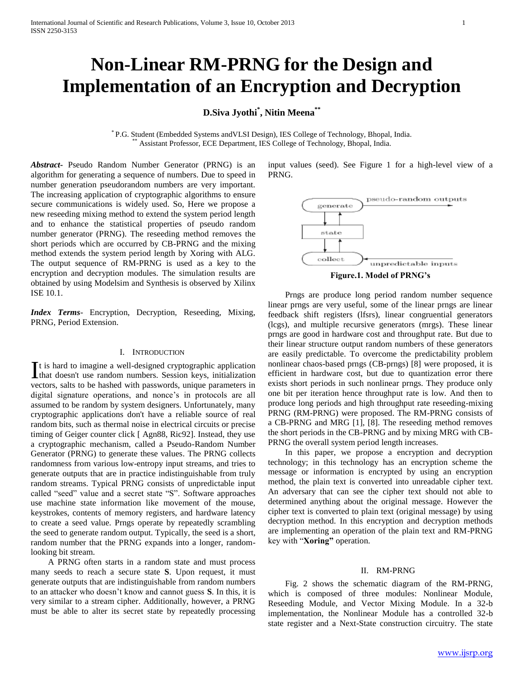# **Non-Linear RM-PRNG for the Design and Implementation of an Encryption and Decryption**

## **D.Siva Jyothi\* , Nitin Meena\*\***

\* P.G. Student (Embedded Systems andVLSI Design), IES College of Technology, Bhopal, India. Assistant Professor, ECE Department, IES College of Technology, Bhopal, India.

*Abstract***-** Pseudo Random Number Generator (PRNG) is an algorithm for generating a sequence of numbers. Due to speed in number generation pseudorandom numbers are very important. The increasing application of cryptographic algorithms to ensure secure communications is widely used. So, Here we propose a new reseeding mixing method to extend the system period length and to enhance the statistical properties of pseudo random number generator (PRNG). The reseeding method removes the short periods which are occurred by CB-PRNG and the mixing method extends the system period length by Xoring with ALG. The output sequence of RM-PRNG is used as a key to the encryption and decryption modules. The simulation results are obtained by using Modelsim and Synthesis is observed by Xilinx ISE 10.1.

*Index Terms*- Encryption, Decryption, Reseeding, Mixing, PRNG, Period Extension.

## I. INTRODUCTION

t is hard to imagine a well-designed cryptographic application It is hard to imagine a well-designed cryptographic application<br>that doesn't use random numbers. Session keys, initialization vectors, salts to be hashed with passwords, unique parameters in digital signature operations, and nonce's in protocols are all assumed to be random by system designers. Unfortunately, many cryptographic applications don't have a reliable source of real random bits, such as thermal noise in electrical circuits or precise timing of Geiger counter click [ Agn88, Ric92]. Instead, they use a cryptographic mechanism, called a Pseudo-Random Number Generator (PRNG) to generate these values. The PRNG collects randomness from various low-entropy input streams, and tries to generate outputs that are in practice indistinguishable from truly random streams. Typical PRNG consists of unpredictable input called "seed" value and a secret state "S". Software approaches use machine state information like movement of the mouse, keystrokes, contents of memory registers, and hardware latency to create a seed value. Prngs operate by repeatedly scrambling the seed to generate random output. Typically, the seed is a short, random number that the PRNG expands into a longer, randomlooking bit stream.

 A PRNG often starts in a random state and must process many seeds to reach a secure state **S**. Upon request, it must generate outputs that are indistinguishable from random numbers to an attacker who doesn't know and cannot guess **S**. In this, it is very similar to a stream cipher. Additionally, however, a PRNG must be able to alter its secret state by repeatedly processing

input values (seed). See Figure 1 for a high-level view of a PRNG.



**Figure.1. Model of PRNG's**

 Prngs are produce long period random number sequence linear prngs are very useful, some of the linear prngs are linear feedback shift registers (lfsrs), linear congruential generators (lcgs), and multiple recursive generators (mrgs). These linear prngs are good in hardware cost and throughput rate. But due to their linear structure output random numbers of these generators are easily predictable. To overcome the predictability problem nonlinear chaos-based prngs (CB-prngs) [8] were proposed, it is efficient in hardware cost, but due to quantization error there exists short periods in such nonlinear prngs. They produce only one bit per iteration hence throughput rate is low. And then to produce long periods and high throughput rate reseeding-mixing PRNG (RM-PRNG) were proposed. The RM-PRNG consists of a CB-PRNG and MRG [1], [8]. The reseeding method removes the short periods in the CB-PRNG and by mixing MRG with CB-PRNG the overall system period length increases.

 In this paper, we propose a encryption and decryption technology; in this technology has an encryption scheme the message or information is encrypted by using an encryption method, the plain text is converted into unreadable cipher text. An adversary that can see the cipher text should not able to determined anything about the original message. However the cipher text is converted to plain text (original message) by using decryption method. In this encryption and decryption methods are implementing an operation of the plain text and RM-PRNG key with "**Xoring"** operation.

#### II. RM-PRNG

 Fig. 2 shows the schematic diagram of the RM-PRNG, which is composed of three modules: Nonlinear Module, Reseeding Module, and Vector Mixing Module. In a 32-b implementation, the Nonlinear Module has a controlled 32-b state register and a Next-State construction circuitry. The state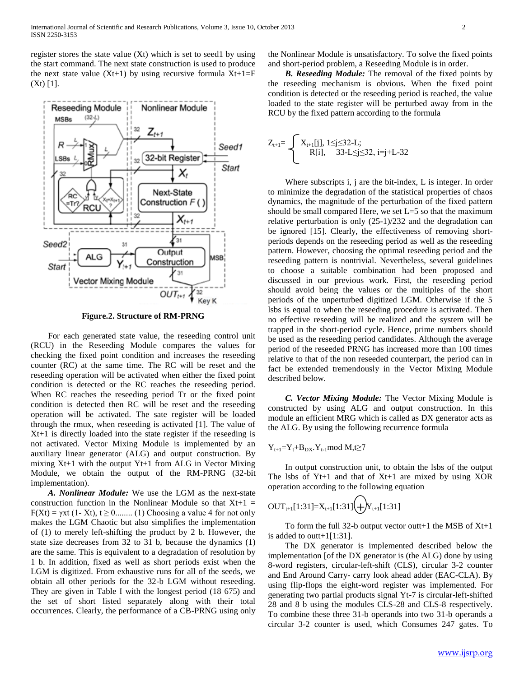register stores the state value (Xt) which is set to seed1 by using the start command. The next state construction is used to produce the next state value  $(Xt+1)$  by using recursive formula  $Xt+1=F$ (Xt) [1].



**Figure.2. Structure of RM-PRNG**

 For each generated state value, the reseeding control unit (RCU) in the Reseeding Module compares the values for checking the fixed point condition and increases the reseeding counter (RC) at the same time. The RC will be reset and the reseeding operation will be activated when either the fixed point condition is detected or the RC reaches the reseeding period. When RC reaches the reseeding period Tr or the fixed point condition is detected then RC will be reset and the reseeding operation will be activated. The sate register will be loaded through the rmux, when reseeding is activated [1]. The value of Xt+1 is directly loaded into the state register if the reseeding is not activated. Vector Mixing Module is implemented by an auxiliary linear generator (ALG) and output construction. By mixing Xt+1 with the output Yt+1 from ALG in Vector Mixing Module, we obtain the output of the RM-PRNG (32-bit implementation).

 *A. Nonlinear Module:* We use the LGM as the next-state construction function in the Nonlinear Module so that  $Xt+1 =$  $F(Xt) = \gamma xt$  (1-Xt),  $t \ge 0$ ........ (1) Choosing a value 4 for not only makes the LGM Chaotic but also simplifies the implementation of (1) to merely left-shifting the product by 2 b. However, the state size decreases from 32 to 31 b, because the dynamics (1) are the same. This is equivalent to a degradation of resolution by 1 b. In addition, fixed as well as short periods exist when the LGM is digitized. From exhaustive runs for all of the seeds, we obtain all other periods for the 32-b LGM without reseeding. They are given in Table I with the longest period (18 675) and the set of short listed separately along with their total occurrences. Clearly, the performance of a CB-PRNG using only

the Nonlinear Module is unsatisfactory. To solve the fixed points and short-period problem, a Reseeding Module is in order.

 *B. Reseeding Module:* The removal of the fixed points by the reseeding mechanism is obvious. When the fixed point condition is detected or the reseeding period is reached, the value loaded to the state register will be perturbed away from in the RCU by the fixed pattern according to the formula

$$
Z_{t+1} = \begin{cases} X_{t+1}[j], \ 1 \leq j \leq 32 \text{-L}; \\ R[i], \ 33 \text{-L} \leq j \leq 32, \ i = j + L - 32 \end{cases}
$$

 Where subscripts i, j are the bit-index, L is integer. In order to minimize the degradation of the statistical properties of chaos dynamics, the magnitude of the perturbation of the fixed pattern should be small compared Here, we set  $L=5$  so that the maximum relative perturbation is only (25-1)/232 and the degradation can be ignored [15]. Clearly, the effectiveness of removing shortperiods depends on the reseeding period as well as the reseeding pattern. However, choosing the optimal reseeding period and the reseeding pattern is nontrivial. Nevertheless, several guidelines to choose a suitable combination had been proposed and discussed in our previous work. First, the reseeding period should avoid being the values or the multiples of the short periods of the unperturbed digitized LGM. Otherwise if the 5 lsbs is equal to when the reseeding procedure is activated. Then no effective reseeding will be realized and the system will be trapped in the short-period cycle. Hence, prime numbers should be used as the reseeding period candidates. Although the average period of the reseeded PRNG has increased more than 100 times relative to that of the non reseeded counterpart, the period can in fact be extended tremendously in the Vector Mixing Module described below.

 *C. Vector Mixing Module:* The Vector Mixing Module is constructed by using ALG and output construction. In this module an efficient MRG which is called as DX generator acts as the ALG. By using the following recurrence formula

$$
Y_{t+1} = Y_t + B_{DX} \cdot Y_{t-1} \text{mod } M, t \ge 7
$$

 In output construction unit, to obtain the lsbs of the output The lsbs of  $Yt+1$  and that of  $Xt+1$  are mixed by using  $XOR$ operation according to the following equation

$$
OUT_{t+1}[1:31]=X_{t+1}[1:31]\bigoplus Y_{t+1}[1:31]
$$

To form the full 32-b output vector outt+1 the MSB of  $Xt+1$ is added to outt+1[1:31].

 The DX generator is implemented described below the implementation [of the DX generator is (the ALG) done by using 8-word registers, circular-left-shift (CLS), circular 3-2 counter and End Around Carry- carry look ahead adder (EAC-CLA). By using flip-flops the eight-word register was implemented. For generating two partial products signal Yt-7 is circular-left-shifted 28 and 8 b using the modules CLS-28 and CLS-8 respectively. To combine these three 31-b operands into two 31-b operands a circular 3-2 counter is used, which Consumes 247 gates. To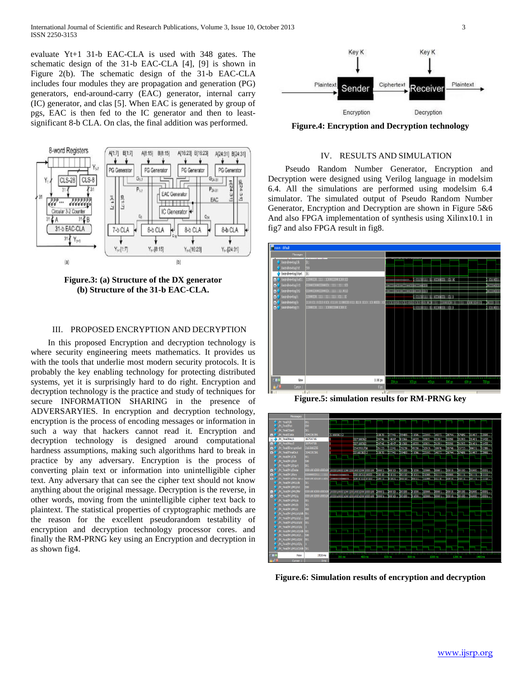evaluate Yt+1 31-b EAC-CLA is used with 348 gates. The schematic design of the 31-b EAC-CLA [4], [9] is shown in Figure 2(b). The schematic design of the 31-b EAC-CLA includes four modules they are propagation and generation (PG) generators, end-around-carry (EAC) generator, internal carry (IC) generator, and clas [5]. When EAC is generated by group of pgs, EAC is then fed to the IC generator and then to leastsignificant 8-b CLA. On clas, the final addition was performed.



**Figure.3: (a) Structure of the DX generator (b) Structure of the 31-b EAC-CLA.**

## III. PROPOSED ENCRYPTION AND DECRYPTION

 In this proposed Encryption and decryption technology is where security engineering meets mathematics. It provides us with the tools that underlie most modern security protocols. It is probably the key enabling technology for protecting distributed systems, yet it is surprisingly hard to do right. Encryption and decryption technology is the practice and study of techniques for secure INFORMATION SHARING in the presence of ADVERSARYIES. In encryption and decryption technology, encryption is the process of encoding messages or information in such a way that hackers cannot read it. Encryption and decryption technology is designed around computational hardness assumptions, making such algorithms hard to break in practice by any adversary. Encryption is the process of converting plain text or information into unintelligible cipher text. Any adversary that can see the cipher text should not know anything about the original message. Decryption is the reverse, in other words, moving from the unintelligible cipher text back to plaintext. The statistical properties of cryptographic methods are the reason for the excellent pseudorandom testability of encryption and decryption technology processor cores. and finally the RM-PRNG key using an Encryption and decryption in as shown fig4.



**Figure.4: Encryption and Decryption technology**

## IV. RESULTS AND SIMULATION

 Pseudo Random Number Generator, Encryption and Decryption were designed using Verilog language in modelsim 6.4. All the simulations are performed using modelsim 6.4 simulator. The simulated output of Pseudo Random Number Generator, Encryption and Decryption are shown in Figure 5&6 And also FPGA implementation of synthesis using Xilinx10.1 in fig7 and also FPGA result in fig8.



**Figure.5: simulation results for RM-PRNG key**



**Figure.6: Simulation results of encryption and decryption**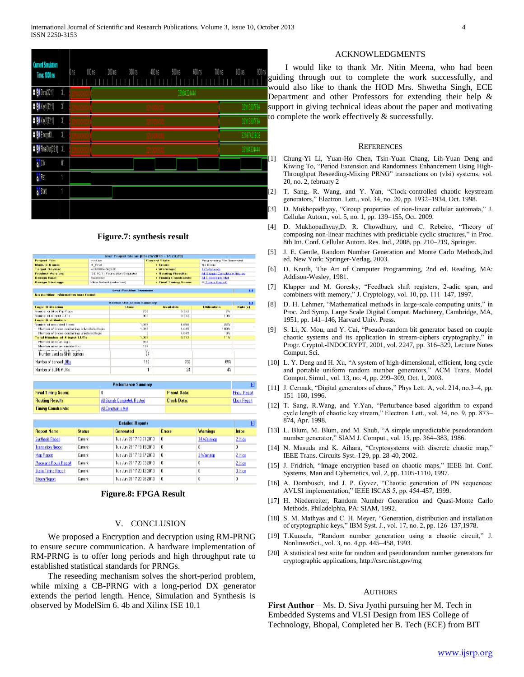| <b>Current Simulation</b><br>Time: 1000 ns<br><b>0 6 Data(32:1)</b> | $3-$                          | $200 \text{ ns}$<br>100 ns<br>300 ns<br>$400 \text{ ns}$<br>500 ns<br>600 ns<br>Dns<br>32h84224444 | 700 ns<br>900 ns<br>800 ns<br>g<br>V |
|---------------------------------------------------------------------|-------------------------------|----------------------------------------------------------------------------------------------------|--------------------------------------|
| <b>0 M</b> Key1[32:1]                                               | $3-$                          |                                                                                                    | $\Gamma$<br>s<br>32h13807F8A         |
| <b>D B</b> <sup>(</sup> <i>Key2</i> [32.1]                          | $3-$                          |                                                                                                    | t d<br>32h13807F8A                   |
| <b>D B</b> EncryptO                                                 | $\mathfrak{Z}_{-}$            |                                                                                                    | 32h97A23BCE                          |
| <b>D B</b> FinalOut[321] 3.                                         |                               |                                                                                                    | 32h84224444                          |
| o <mark>ll</mark> Clk                                               | $\begin{matrix} \end{matrix}$ |                                                                                                    | $\left[\right]$                      |
| $\sqrt{\frac{1}{2}}$ Rst                                            | 1                             |                                                                                                    |                                      |
| <mark>M</mark> Start                                                | 1                             |                                                                                                    | [                                    |
|                                                                     |                               |                                                                                                    | $[$                                  |

#### **Figure.7: synthesis result**

|                                                                   |                                 | byof Project Status (06/25/2013 - 17:20:20) |                              |                            |                               |  |
|-------------------------------------------------------------------|---------------------------------|---------------------------------------------|------------------------------|----------------------------|-------------------------------|--|
| <b>Project Film</b><br><b>Investigar</b>                          |                                 |                                             | Convert State:               | Programming File Generated |                               |  |
| <b>Module Name:</b><br>M. Final                                   |                                 |                                             | · Errora:                    | No Errors                  |                               |  |
| <b>Target Device:</b><br>KG3:500e-5fg320                          |                                 |                                             | + Warnings:                  | 17 Warnings                |                               |  |
| <b>Product Varilan:</b>                                           | ISE 10.1 - Foundation Simulator |                                             | <b>* Routing Roughs:</b>     |                            | All Signals Completely Routed |  |
| Design Goals                                                      | Balanced                        |                                             | <b>* Timing Constraints:</b> | All Constraints Mat        |                               |  |
| Edition Dartacult Turdomhand)<br>Design Strategy:                 |                                 | * Final Fining Source                       |                              | <b>D.ITimina Flexonti</b>  |                               |  |
|                                                                   |                                 | bvof Partition Summary                      |                              |                            | <b>ET</b>                     |  |
| No partition information was found.                               |                                 |                                             |                              |                            |                               |  |
|                                                                   |                                 | Deview Utilization Summary                  |                              |                            | Ħ                             |  |
| Logic Utilization                                                 |                                 | tissel                                      | <b>Available</b>             | Utilization                | <b>Notefal</b>                |  |
| Number of Stice Flip Flops                                        |                                 | 700                                         | 9.912                        | 7%                         |                               |  |
| Number of 4 input LUTs                                            |                                 | 063                                         | 0.312                        | 10%                        |                               |  |
| Louis Distribution                                                |                                 |                                             |                              |                            |                               |  |
| Number of consequent Stores                                       |                                 | 1.04%                                       | 4.0mm                        | 202250                     |                               |  |
| Number of Stices containing only related logic                    |                                 | 1.045                                       | 1.045                        | 100%                       |                               |  |
| Number of Slices containing unrelated logic                       |                                 | п                                           | 1.045                        | Olic                       |                               |  |
| <b>Total Number of 4 input LUTs</b>                               |                                 | 1.009                                       | 0.312                        | 11%                        |                               |  |
| Number used as looks                                              |                                 | 11319                                       |                              |                            |                               |  |
| Number used as a materibus                                        |                                 | 1286                                        |                              |                            |                               |  |
| Mumber used as Shift registers.<br>Number used as Shift registers |                                 | $\frac{27}{24}$                             |                              |                            |                               |  |
| Number of bonded IDBs                                             |                                 | 162                                         | 232                          | 69%                        |                               |  |
| Number of BUFGMUX6                                                |                                 |                                             | 24                           | 4%                         |                               |  |

| <b>Performance Summary</b> |                               |                     |                      |
|----------------------------|-------------------------------|---------------------|----------------------|
| <b>Final Timing Score:</b> |                               | <b>Pinout Data:</b> | <b>Pinout Report</b> |
| <b>Routing Results:</b>    | All Signals Completely Routed | <b>Clock Data:</b>  | <b>Clock Report</b>  |
| <b>Timing Constraints:</b> | <b>All Constraints Met</b>    |                     |                      |

| <b>Detailed Reports</b>       |               |                          |          | H               |         |
|-------------------------------|---------------|--------------------------|----------|-----------------|---------|
| <b>Report Name</b>            | <b>Status</b> | Generated                | Errors   | <b>Warnings</b> | Infos   |
| <b>Synthesis Report</b>       | Current       | Tue Jun 25 17:13:31 2013 | $\bf{0}$ | 14 Warnings     | 2 Infos |
| <b>Translation Report</b>     | Current       | Tue Jun 25 17:19:19 2013 | $\bf{0}$ | 0               | 0       |
| <b>Map Report</b>             | Current       | Tue Jun 25 17:19:37 2013 | Ō        | 3 Warnings      | 2 Infos |
| <b>Place and Route Report</b> | Current       | Tue Jun 25 17:20:03 2013 | $\bf{0}$ | 0               | 2 Infos |
| <b>Statio Timing Report</b>   | Current       | Tue Jun 25 17:20:12 2013 | Ō        | Ō               | 3 Infos |
| <b>Bitgen Report</b>          | Current       | Tue Jun 25 17:20:26 2013 | 0        | 0               | 0       |

**Figure.8: FPGA Result**

#### V. CONCLUSION

 We proposed a Encryption and decryption using RM-PRNG to ensure secure communication. A hardware implementation of RM-PRNG is to offer long periods and high throughput rate to established statistical standards for PRNGs.

 The reseeding mechanism solves the short-period problem, while mixing a CB-PRNG with a long-period DX generator extends the period length. Hence, Simulation and Synthesis is observed by ModelSim 6. 4b and Xilinx ISE 10.1

## ACKNOWLEDGMENTS

 I would like to thank Mr. Nitin Meena, who had been guiding through out to complete the work successfully, and would also like to thank the HOD Mrs. Shwetha Singh, ECE Department and other Professors for extending their help & upport in giving technical ideas about the paper and motivating to complete the work effectively  $\&$  successfully.

#### **REFERENCES**

- [1] Chung-Yi Li, Yuan-Ho Chen, Tsin-Yuan Chang, Lih-Yuan Deng and Kiwing To, "Period Extension and Randomness Enhancement Using High-Throughput Reseeding-Mixing PRNG" transactions on (vlsi) systems, vol. 20, no. 2, february 2
- [2] T. Sang, R. Wang, and Y. Yan, "Clock-controlled chaotic keystream generators," Electron. Lett., vol. 34, no. 20, pp. 1932–1934, Oct. 1998.
- [3] D. Mukhopadhyay, "Group properties of non-linear cellular automata," J. Cellular Autom., vol. 5, no. 1, pp. 139–155, Oct. 2009.
- [4] D. Mukhopadhyay,D. R. Chowdhury, and C. Rebeiro, "Theory of composing non-linear machines with predictable cyclic structures," in Proc. 8th Int. Conf. Cellular Autom. Res. Ind., 2008, pp. 210–219, Springer.
- [5] J. E. Gentle, Random Number Generation and Monte Carlo Methods,2nd ed. New York: Springer-Verlag, 2003.
- [6] D. Knuth, The Art of Computer Programming, 2nd ed. Reading, MA: Addison-Wesley, 1981.
- [7] Klapper and M. Goresky, "Feedback shift registers, 2-adic span, and combiners with memory," J. Cryptology, vol. 10, pp. 111–147, 1997.
- [8] D. H. Lehmer, "Mathematical methods in large-scale computing units," in Proc. 2nd Symp. Large Scale Digital Comput. Machinery, Cambridge, MA, 1951, pp. 141–146, Harvard Univ. Press.
- [9] S. Li, X. Mou, and Y. Cai, "Pseudo-random bit generator based on couple chaotic systems and its application in stream-ciphers cryptography," in Progr. Cryptol.-INDOCRYPT, 2001, vol. 2247, pp. 316–329, Lecture Notes Comput. Sci.
- [10] L. Y. Deng and H. Xu, "A system of high-dimensional, efficient, long cycle and portable uniform random number generators," ACM Trans. Model Comput. Simul., vol. 13, no. 4, pp. 299–309, Oct. 1, 2003.
- [11] J. Cermak, "Digital generators of chaos," Phys Lett. A, vol. 214, no.3-4, pp. 151–160, 1996.
- [12] T. Sang, R.Wang, and Y.Yan, "Perturbance-based algorithm to expand cycle length of chaotic key stream," Electron. Lett., vol. 34, no. 9, pp. 873– 874, Apr. 1998.
- [13] L. Blum, M. Blum, and M. Shub, "A simple unpredictable pseudorandom number generator," SIAM J. Comput., vol. 15, pp. 364–383, 1986.
- [14] N. Masuda and K. Aihara, "Cryptosystems with discrete chaotic map," IEEE Trans. Circuits Syst.-I 29, pp. 28-40, 2002.
- [15] J. Fridrich, "Image encryption based on chaotic maps," IEEE Int. Conf. Systems, Man and Cybernetics, vol. 2, pp. 1105-1110, 1997.
- [16] A. Dornbusch, and J. P. Gyvez, "Chaotic generation of PN sequences: AVLSI implementation," IEEE ISCAS 5, pp. 454-457, 1999.
- [17] H. Niederreiter, Random Number Generation and Quasi-Monte Carlo Methods. Philadelphia, PA: SIAM, 1992.
- [18] S. M. Mathyas and C. H. Meyer, "Generation, distribution and installation of cryptographic keys," IBM Syst. J., vol. 17, no. 2, pp. 126–137,1978.
- [19] T.Kuusela, "Random number generation using a chaotic circuit," J. NonlinearSci., vol. 3, no. 4,pp. 445–458, 1993.
- [20] A statistical test suite for random and pseudorandom number generators for cryptographic applications, http://csrc.nist.gov/rng

#### AUTHORS

**First Author** – Ms. D. Siva Jyothi pursuing her M. Tech in Embedded Systems and VLSI Design from IES College of Technology, Bhopal, Completed her B. Tech (ECE) from BIT